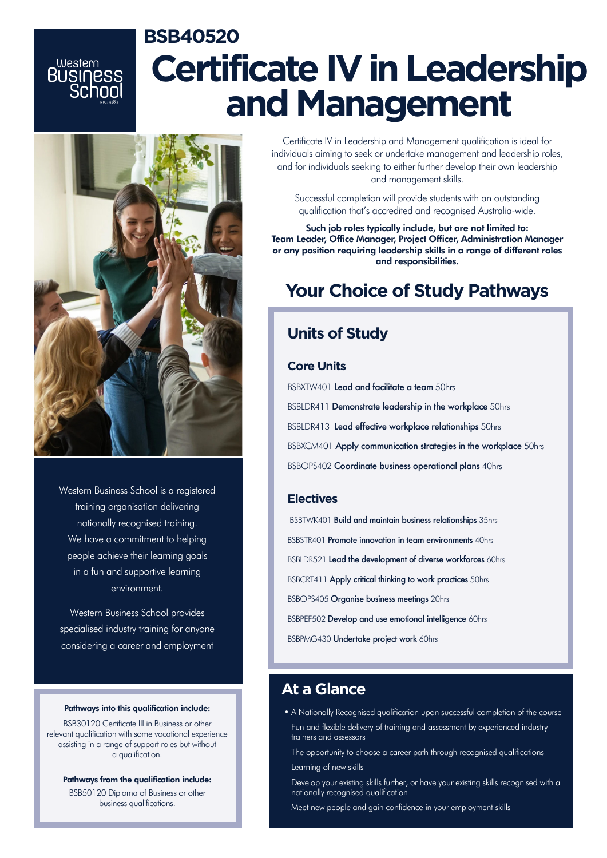# **BSB40520 Certificate IV in Leadership and Management**



western<br>BUSINESS

Western Business School is a registered training organisation delivering nationally recognised training. We have a commitment to helping people achieve their learning goals in a fun and supportive learning environment.

Western Business School provides specialised industry training for anyone considering a career and employment

#### Pathways into this qualification include:

BSB30120 Certificate III in Business or other relevant qualification with some vocational experience assisting in a range of support roles but without a qualification.

Pathways from the qualification include: BSB50120 Diploma of Business or other business qualifications.

Certificate IV in Leadership and Management qualification is ideal for individuals aiming to seek or undertake management and leadership roles, and for individuals seeking to either further develop their own leadership and management skills.

Successful completion will provide students with an outstanding qualification that's accredited and recognised Australia-wide.

Such job roles typically include, but are not limited to: Team Leader, Office Manager, Project Officer, Administration Manager or any position requiring leadership skills in a range of different roles and responsibilities.

### **Your Choice of Study Pathways**

### **Units of Study**

#### **Core Units**

BSBXTW401 Lead and facilitate a team 50hrs BSBLDR411 Demonstrate leadership in the workplace 50hrs BSBLDR413 Lead effective workplace relationships 50hrs BSBXCM401 Apply communication strategies in the workplace 50hrs BSBOPS402 Coordinate business operational plans 40hrs

#### **Electives**

BSBTWK401 Build and maintain business relationships 35hrs BSBSTR401 Promote innovation in team environments 40hrs BSBLDR521 Lead the development of diverse workforces 60hrs BSBCRT411 Apply critical thinking to work practices 50hrs BSBOPS405 Organise business meetings 20hrs BSBPEF502 Develop and use emotional intelligence 60hrs BSBPMG430 Undertake project work 60hrs

### **At a Glance**

- A Nationally Recognised qualification upon successful completion of the course
- Fun and flexible delivery of training and assessment by experienced industry trainers and assessors
- The opportunity to choose a career path through recognised qualifications
- Learning of new skills
- Develop your existing skills further, or have your existing skills recognised with a nationally recognised qualification
- Meet new people and gain confidence in your employment skills